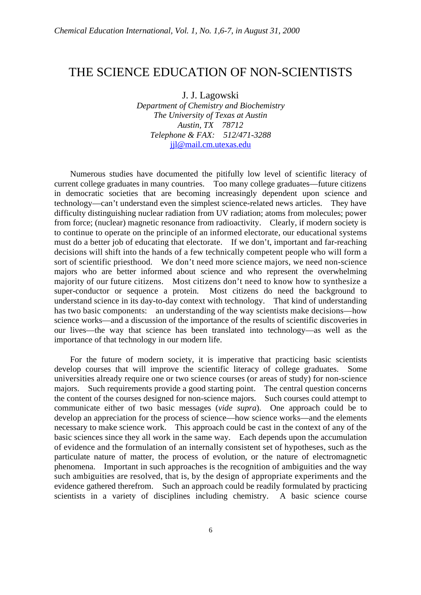## THE SCIENCE EDUCATION OF NON-SCIENTISTS

## J. J. Lagowski

*Department of Chemistry and Biochemistry The University of Texas at Austin Austin, TX 78712 Telephone & FAX: 512/471-3288* jjl@mail.cm.utexas.edu

Numerous studies have documented the pitifully low level of scientific literacy of current college graduates in many countries. Too many college graduates—future citizens in democratic societies that are becoming increasingly dependent upon science and technology—can't understand even the simplest science-related news articles. They have difficulty distinguishing nuclear radiation from UV radiation; atoms from molecules; power from force; (nuclear) magnetic resonance from radioactivity. Clearly, if modern society is to continue to operate on the principle of an informed electorate, our educational systems must do a better job of educating that electorate. If we don't, important and far-reaching decisions will shift into the hands of a few technically competent people who will form a sort of scientific priesthood. We don't need more science majors, we need non-science majors who are better informed about science and who represent the overwhelming majority of our future citizens. Most citizens don't need to know how to synthesize a super-conductor or sequence a protein. Most citizens do need the background to understand science in its day-to-day context with technology. That kind of understanding has two basic components: an understanding of the way scientists make decisions—how science works—and a discussion of the importance of the results of scientific discoveries in our lives—the way that science has been translated into technology—as well as the importance of that technology in our modern life.

For the future of modern society, it is imperative that practicing basic scientists develop courses that will improve the scientific literacy of college graduates. Some universities already require one or two science courses (or areas of study) for non-science majors. Such requirements provide a good starting point. The central question concerns the content of the courses designed for non-science majors. Such courses could attempt to communicate either of two basic messages (*vide supra*). One approach could be to develop an appreciation for the process of science—how science works—and the elements necessary to make science work. This approach could be cast in the context of any of the basic sciences since they all work in the same way. Each depends upon the accumulation of evidence and the formulation of an internally consistent set of hypotheses, such as the particulate nature of matter, the process of evolution, or the nature of electromagnetic phenomena. Important in such approaches is the recognition of ambiguities and the way such ambiguities are resolved, that is, by the design of appropriate experiments and the evidence gathered therefrom. Such an approach could be readily formulated by practicing scientists in a variety of disciplines including chemistry. A basic science course